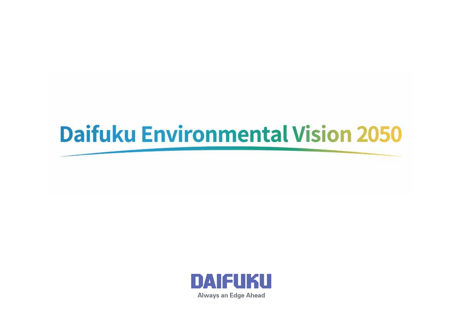# **Daifuku Environmental Vision 2050**

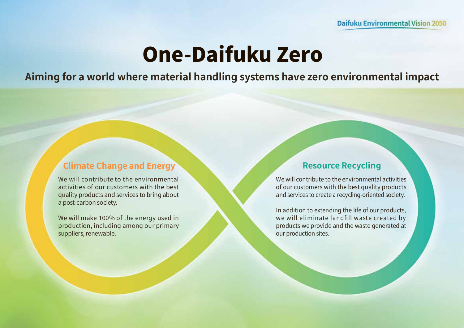# **One-Daifuku Zero**

**Aiming for a world where material handling systems have zero environmental impact**

### **Climate Change and Energy <b>Resource Recycling**

We will contribute to the environmental activities of our customers with the best quality products and services to bring about a post-carbon society.

We will make 100% of the energy used in production, including among our primary suppliers, renewable.

We will contribute to the environmental activities of our customers with the best quality products and services to create a recycling-oriented society.

In addition to extending the life of our products, we will eliminate landfill waste created by products we provide and the waste generated at our production sites.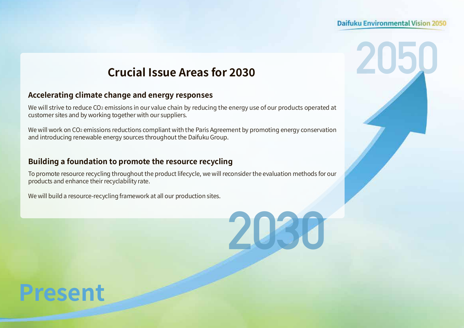#### **Daifuku Environmental Vision 2050**

**2050**

## **Crucial Issue Areas for 2030**

#### **Accelerating climate change and energy responses**

We will strive to reduce CO<sub>2</sub> emissions in our value chain by reducing the energy use of our products operated at customer sites and by working together with our suppliers.

We will work on CO<sub>2</sub> emissions reductions compliant with the Paris Agreement by promoting energy conservation and introducing renewable energy sources throughout the Daifuku Group.

#### **Building a foundation to promote the resource recycling**

To promote resource recycling throughout the product lifecycle, we will reconsider the evaluation methods for our products and enhance their recyclability rate.

We will build a resource-recycling framework at all our production sites.